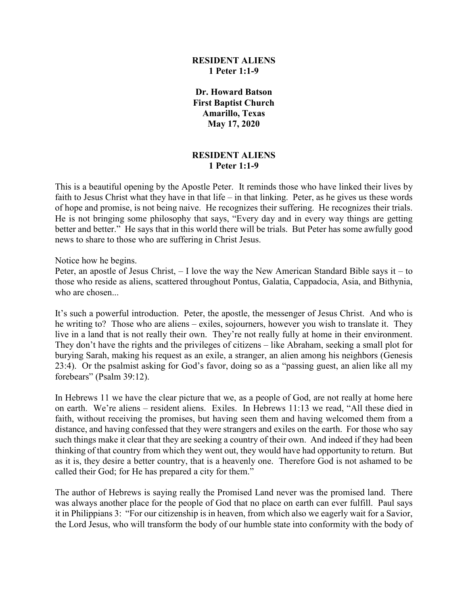## **RESIDENT ALIENS 1 Peter 1:1-9**

**Dr. Howard Batson First Baptist Church Amarillo, Texas May 17, 2020**

## **RESIDENT ALIENS 1 Peter 1:1-9**

This is a beautiful opening by the Apostle Peter. It reminds those who have linked their lives by faith to Jesus Christ what they have in that life – in that linking. Peter, as he gives us these words of hope and promise, is not being naive. He recognizes their suffering. He recognizes their trials. He is not bringing some philosophy that says, "Every day and in every way things are getting better and better." He says that in this world there will be trials. But Peter has some awfully good news to share to those who are suffering in Christ Jesus.

Notice how he begins.

Peter, an apostle of Jesus Christ, – I love the way the New American Standard Bible says it – to those who reside as aliens, scattered throughout Pontus, Galatia, Cappadocia, Asia, and Bithynia, who are chosen...

It's such a powerful introduction. Peter, the apostle, the messenger of Jesus Christ. And who is he writing to? Those who are aliens – exiles, sojourners, however you wish to translate it. They live in a land that is not really their own. They're not really fully at home in their environment. They don't have the rights and the privileges of citizens – like Abraham, seeking a small plot for burying Sarah, making his request as an exile, a stranger, an alien among his neighbors (Genesis 23:4). Or the psalmist asking for God's favor, doing so as a "passing guest, an alien like all my forebears" (Psalm 39:12).

In Hebrews 11 we have the clear picture that we, as a people of God, are not really at home here on earth. We're aliens – resident aliens. Exiles. In Hebrews 11:13 we read, "All these died in faith, without receiving the promises, but having seen them and having welcomed them from a distance, and having confessed that they were strangers and exiles on the earth. For those who say such things make it clear that they are seeking a country of their own. And indeed if they had been thinking of that country from which they went out, they would have had opportunity to return. But as it is, they desire a better country, that is a heavenly one. Therefore God is not ashamed to be called their God; for He has prepared a city for them."

The author of Hebrews is saying really the Promised Land never was the promised land. There was always another place for the people of God that no place on earth can ever fulfill. Paul says it in Philippians 3: "For our citizenship is in heaven, from which also we eagerly wait for a Savior, the Lord Jesus, who will transform the body of our humble state into conformity with the body of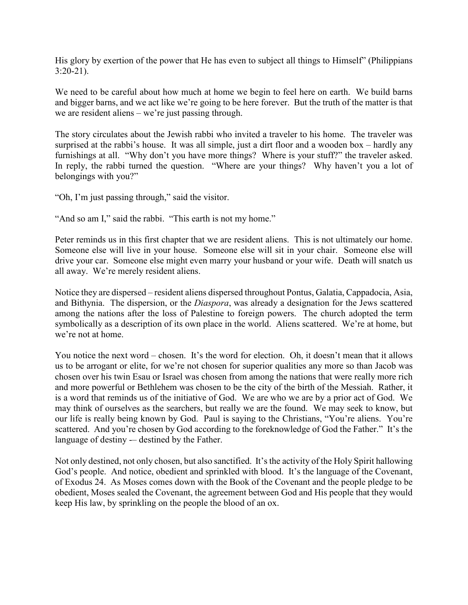His glory by exertion of the power that He has even to subject all things to Himself" (Philippians 3:20-21).

We need to be careful about how much at home we begin to feel here on earth. We build barns and bigger barns, and we act like we're going to be here forever. But the truth of the matter is that we are resident aliens – we're just passing through.

The story circulates about the Jewish rabbi who invited a traveler to his home. The traveler was surprised at the rabbi's house. It was all simple, just a dirt floor and a wooden box – hardly any furnishings at all. "Why don't you have more things? Where is your stuff?" the traveler asked. In reply, the rabbi turned the question. "Where are your things? Why haven't you a lot of belongings with you?"

"Oh, I'm just passing through," said the visitor.

"And so am I," said the rabbi. "This earth is not my home."

Peter reminds us in this first chapter that we are resident aliens. This is not ultimately our home. Someone else will live in your house. Someone else will sit in your chair. Someone else will drive your car. Someone else might even marry your husband or your wife. Death will snatch us all away. We're merely resident aliens.

Notice they are dispersed – resident aliens dispersed throughout Pontus, Galatia, Cappadocia, Asia, and Bithynia. The dispersion, or the *Diaspora*, was already a designation for the Jews scattered among the nations after the loss of Palestine to foreign powers. The church adopted the term symbolically as a description of its own place in the world. Aliens scattered. We're at home, but we're not at home.

You notice the next word – chosen. It's the word for election. Oh, it doesn't mean that it allows us to be arrogant or elite, for we're not chosen for superior qualities any more so than Jacob was chosen over his twin Esau or Israel was chosen from among the nations that were really more rich and more powerful or Bethlehem was chosen to be the city of the birth of the Messiah. Rather, it is a word that reminds us of the initiative of God. We are who we are by a prior act of God. We may think of ourselves as the searchers, but really we are the found. We may seek to know, but our life is really being known by God. Paul is saying to the Christians, "You're aliens. You're scattered. And you're chosen by God according to the foreknowledge of God the Father." It's the language of destiny -- destined by the Father.

Not only destined, not only chosen, but also sanctified. It's the activity of the Holy Spirit hallowing God's people. And notice, obedient and sprinkled with blood. It's the language of the Covenant, of Exodus 24. As Moses comes down with the Book of the Covenant and the people pledge to be obedient, Moses sealed the Covenant, the agreement between God and His people that they would keep His law, by sprinkling on the people the blood of an ox.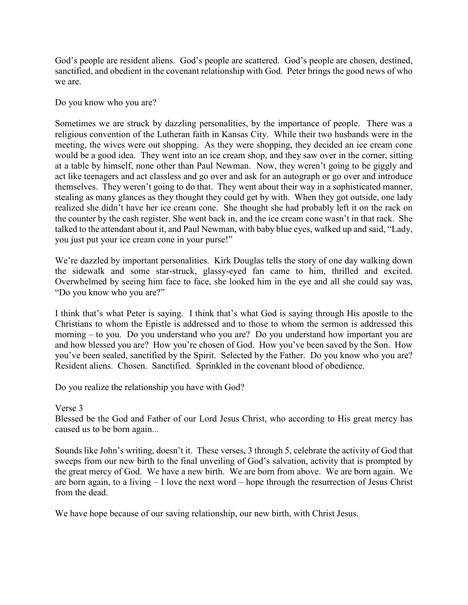God's people are resident aliens. God's people are scattered. God's people are chosen, destined, sanctified, and obedient in the covenant relationship with God. Peter brings the good news of who we are.

Do you know who you are?

Sometimes we are struck by dazzling personalities, by the importance of people. There was a religious convention of the Lutheran faith in Kansas City. While their two husbands were in the meeting, the wives were out shopping. As they were shopping, they decided an ice cream cone would be a good idea. They went into an ice cream shop, and they saw over in the corner, sitting at a table by himself, none other than Paul Newman. Now, they weren't going to be giggly and act like teenagers and act classless and go over and ask for an autograph or go over and introduce themselves. They weren't going to do that. They went about their way in a sophisticated manner, stealing as many glances as they thought they could get by with. When they got outside, one lady realized she didn't have her ice cream cone. She thought she had probably left it on the rack on the counter by the cash register. She went back in, and the ice cream cone wasn't in that rack. She talked to the attendant about it, and Paul Newman, with baby blue eyes, walked up and said, "Lady, you just put your ice cream cone in your purse!"

We're dazzled by important personalities. Kirk Douglas tells the story of one day walking down the sidewalk and some star-struck, glassy-eyed fan came to him, thrilled and excited. Overwhelmed by seeing him face to face, she looked him in the eye and all she could say was, "Do you know who you are?"

I think that's what Peter is saying. I think that's what God is saying through His apostle to the Christians to whom the Epistle is addressed and to those to whom the sermon is addressed this morning – to you. Do you understand who you are? Do you understand how important you are and how blessed you are? How you're chosen of God. How you've been saved by the Son. How you've been sealed, sanctified by the Spirit. Selected by the Father. Do you know who you are? Resident aliens. Chosen. Sanctified. Sprinkled in the covenant blood of obedience.

Do you realize the relationship you have with God?

## Verse 3

Blessed be the God and Father of our Lord Jesus Christ, who according to His great mercy has caused us to be born again...

Sounds like John's writing, doesn't it. These verses, 3 through 5, celebrate the activity of God that sweeps from our new birth to the final unveiling of God's salvation, activity that is prompted by the great mercy of God. We have a new birth. We are born from above. We are born again. We are born again, to a living – I love the next word – hope through the resurrection of Jesus Christ from the dead.

We have hope because of our saving relationship, our new birth, with Christ Jesus.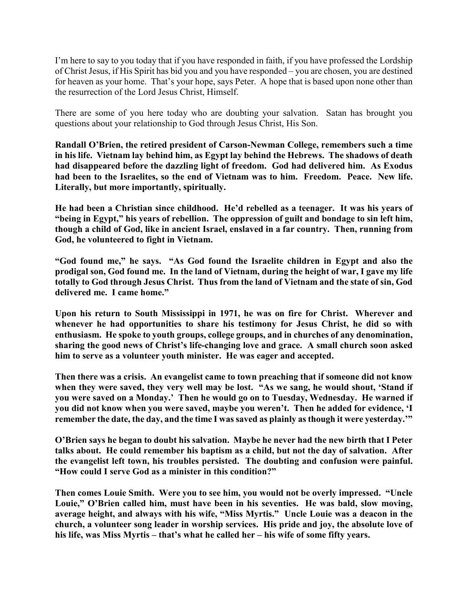I'm here to say to you today that if you have responded in faith, if you have professed the Lordship of Christ Jesus, if His Spirit has bid you and you have responded – you are chosen, you are destined for heaven as your home. That's your hope, says Peter. A hope that is based upon none other than the resurrection of the Lord Jesus Christ, Himself.

There are some of you here today who are doubting your salvation. Satan has brought you questions about your relationship to God through Jesus Christ, His Son.

**Randall O'Brien, the retired president of Carson-Newman College, remembers such a time in his life. Vietnam lay behind him, as Egypt lay behind the Hebrews. The shadows of death had disappeared before the dazzling light of freedom. God had delivered him. As Exodus had been to the Israelites, so the end of Vietnam was to him. Freedom. Peace. New life. Literally, but more importantly, spiritually.**

**He had been a Christian since childhood. He'd rebelled as a teenager. It was his years of "being in Egypt," his years of rebellion. The oppression of guilt and bondage to sin left him, though a child of God, like in ancient Israel, enslaved in a far country. Then, running from God, he volunteered to fight in Vietnam.**

**"God found me," he says. "As God found the Israelite children in Egypt and also the prodigal son, God found me. In the land of Vietnam, during the height of war, I gave my life totally to God through Jesus Christ. Thus from the land of Vietnam and the state of sin, God delivered me. I came home."**

**Upon his return to South Mississippi in 1971, he was on fire for Christ. Wherever and whenever he had opportunities to share his testimony for Jesus Christ, he did so with enthusiasm. He spoke to youth groups, college groups, and in churches of any denomination, sharing the good news of Christ's life-changing love and grace. A small church soon asked him to serve as a volunteer youth minister. He was eager and accepted.**

**Then there was a crisis. An evangelist came to town preaching that if someone did not know when they were saved, they very well may be lost. "As we sang, he would shout, 'Stand if you were saved on a Monday.' Then he would go on to Tuesday, Wednesday. He warned if you did not know when you were saved, maybe you weren't. Then he added for evidence, 'I remember the date, the day, and the time I was saved as plainly as though it were yesterday.'"**

**O'Brien says he began to doubt his salvation. Maybe he never had the new birth that I Peter talks about. He could remember his baptism as a child, but not the day of salvation. After the evangelist left town, his troubles persisted. The doubting and confusion were painful. "How could I serve God as a minister in this condition?"**

**Then comes Louie Smith. Were you to see him, you would not be overly impressed. "Uncle**  Louie," O'Brien called him, must have been in his seventies. He was bald, slow moving, **average height, and always with his wife, "Miss Myrtis." Uncle Louie was a deacon in the church, a volunteer song leader in worship services. His pride and joy, the absolute love of his life, was Miss Myrtis – that's what he called her – his wife of some fifty years.**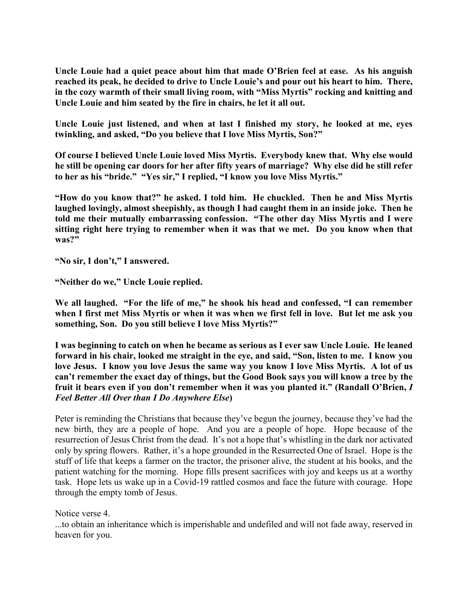**Uncle Louie had a quiet peace about him that made O'Brien feel at ease. As his anguish reached its peak, he decided to drive to Uncle Louie's and pour out his heart to him. There, in the cozy warmth of their small living room, with "Miss Myrtis" rocking and knitting and Uncle Louie and him seated by the fire in chairs, he let it all out.**

**Uncle Louie just listened, and when at last I finished my story, he looked at me, eyes twinkling, and asked, "Do you believe that I love Miss Myrtis, Son?"**

**Of course I believed Uncle Louie loved Miss Myrtis. Everybody knew that. Why else would he still be opening car doors for her after fifty years of marriage? Why else did he still refer to her as his "bride." "Yes sir," I replied, "I know you love Miss Myrtis."**

**"How do you know that?" he asked. I told him. He chuckled. Then he and Miss Myrtis laughed lovingly, almost sheepishly, as though I had caught them in an inside joke. Then he told me their mutually embarrassing confession. "The other day Miss Myrtis and I were sitting right here trying to remember when it was that we met. Do you know when that was?"**

**"No sir, I don't," I answered.**

**"Neither do we," Uncle Louie replied.**

**We all laughed. "For the life of me," he shook his head and confessed, "I can remember when I first met Miss Myrtis or when it was when we first fell in love. But let me ask you something, Son. Do you still believe I love Miss Myrtis?"**

**I was beginning to catch on when he became as serious as I ever saw Uncle Louie. He leaned forward in his chair, looked me straight in the eye, and said, "Son, listen to me. I know you love Jesus. I know you love Jesus the same way you know I love Miss Myrtis. A lot of us can't remember the exact day of things, but the Good Book says you will know a tree by the fruit it bears even if you don't remember when it was you planted it." (Randall O'Brien,** *I Feel Better All Over than I Do Anywhere Else***)**

Peter is reminding the Christians that because they've begun the journey, because they've had the new birth, they are a people of hope. And you are a people of hope. Hope because of the resurrection of Jesus Christ from the dead. It's not a hope that's whistling in the dark nor activated only by spring flowers. Rather, it's a hope grounded in the Resurrected One of Israel. Hope is the stuff of life that keeps a farmer on the tractor, the prisoner alive, the student at his books, and the patient watching for the morning. Hope fills present sacrifices with joy and keeps us at a worthy task. Hope lets us wake up in a Covid-19 rattled cosmos and face the future with courage. Hope through the empty tomb of Jesus.

Notice verse 4.

...to obtain an inheritance which is imperishable and undefiled and will not fade away, reserved in heaven for you.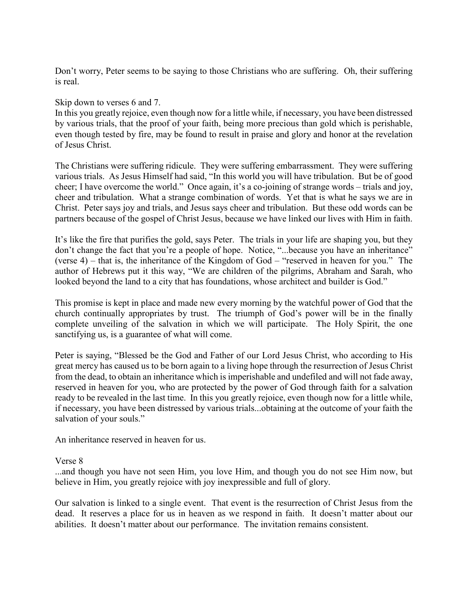Don't worry, Peter seems to be saying to those Christians who are suffering. Oh, their suffering is real.

Skip down to verses 6 and 7.

In this you greatly rejoice, even though now for a little while, if necessary, you have been distressed by various trials, that the proof of your faith, being more precious than gold which is perishable, even though tested by fire, may be found to result in praise and glory and honor at the revelation of Jesus Christ.

The Christians were suffering ridicule. They were suffering embarrassment. They were suffering various trials. As Jesus Himself had said, "In this world you will have tribulation. But be of good cheer; I have overcome the world." Once again, it's a co-joining of strange words – trials and joy, cheer and tribulation. What a strange combination of words. Yet that is what he says we are in Christ. Peter says joy and trials, and Jesus says cheer and tribulation. But these odd words can be partners because of the gospel of Christ Jesus, because we have linked our lives with Him in faith.

It's like the fire that purifies the gold, says Peter. The trials in your life are shaping you, but they don't change the fact that you're a people of hope. Notice, "...because you have an inheritance" (verse 4) – that is, the inheritance of the Kingdom of God – "reserved in heaven for you." The author of Hebrews put it this way, "We are children of the pilgrims, Abraham and Sarah, who looked beyond the land to a city that has foundations, whose architect and builder is God."

This promise is kept in place and made new every morning by the watchful power of God that the church continually appropriates by trust. The triumph of God's power will be in the finally complete unveiling of the salvation in which we will participate. The Holy Spirit, the one sanctifying us, is a guarantee of what will come.

Peter is saying, "Blessed be the God and Father of our Lord Jesus Christ, who according to His great mercy has caused us to be born again to a living hope through the resurrection of Jesus Christ from the dead, to obtain an inheritance which is imperishable and undefiled and will not fade away, reserved in heaven for you, who are protected by the power of God through faith for a salvation ready to be revealed in the last time. In this you greatly rejoice, even though now for a little while, if necessary, you have been distressed by various trials...obtaining at the outcome of your faith the salvation of your souls."

An inheritance reserved in heaven for us.

Verse 8

...and though you have not seen Him, you love Him, and though you do not see Him now, but believe in Him, you greatly rejoice with joy inexpressible and full of glory.

Our salvation is linked to a single event. That event is the resurrection of Christ Jesus from the dead. It reserves a place for us in heaven as we respond in faith. It doesn't matter about our abilities. It doesn't matter about our performance. The invitation remains consistent.